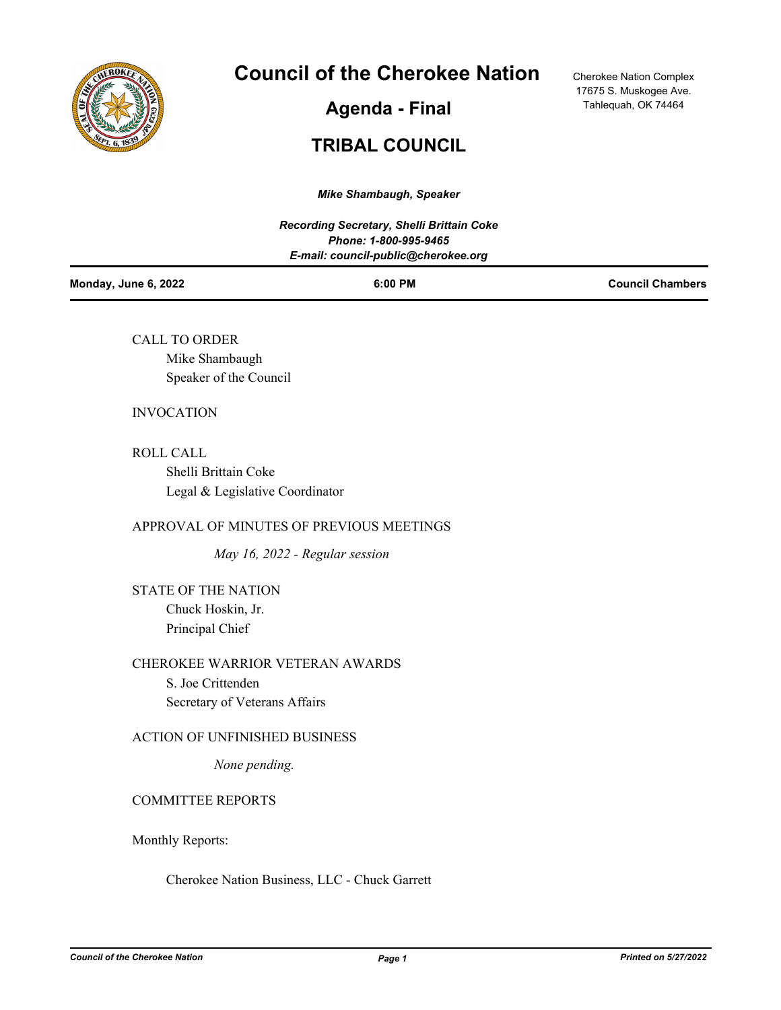

# **Council of the Cherokee Nation**

**Agenda - Final**

Cherokee Nation Complex 17675 S. Muskogee Ave. Tahlequah, OK 74464

# **TRIBAL COUNCIL**

*Mike Shambaugh, Speaker*

|                      | <b>Recording Secretary, Shelli Brittain Coke</b><br>Phone: 1-800-995-9465<br>E-mail: council-public@cherokee.org |                         |
|----------------------|------------------------------------------------------------------------------------------------------------------|-------------------------|
| Monday, June 6, 2022 | 6:00 PM                                                                                                          | <b>Council Chambers</b> |

CALL TO ORDER Mike Shambaugh Speaker of the Council

## INVOCATION

ROLL CALL Shelli Brittain Coke Legal & Legislative Coordinator

## APPROVAL OF MINUTES OF PREVIOUS MEETINGS

*May 16, 2022 - Regular session*

STATE OF THE NATION Chuck Hoskin, Jr. Principal Chief

CHEROKEE WARRIOR VETERAN AWARDS S. Joe Crittenden Secretary of Veterans Affairs

## ACTION OF UNFINISHED BUSINESS

*None pending.*

# COMMITTEE REPORTS

Monthly Reports:

Cherokee Nation Business, LLC - Chuck Garrett

*Council of the Cherokee Nation Page 1 Printed on 5/27/2022*